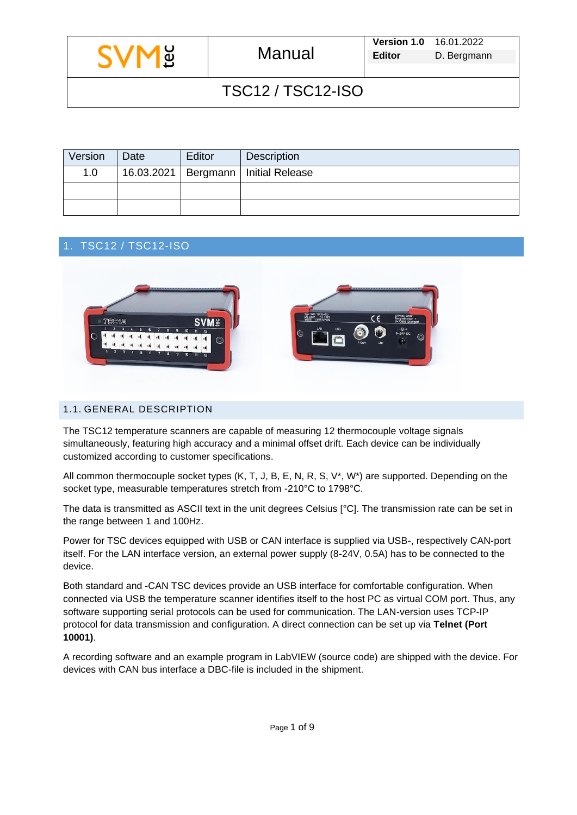| Version | Date | Editor | Description                             |
|---------|------|--------|-----------------------------------------|
| 1.0     |      |        | 16.03.2021   Bergmann   Initial Release |
|         |      |        |                                         |
|         |      |        |                                         |

## 1. TSC12 / TSC12-ISO



### 1.1. GENERAL DESCRIPTION

The TSC12 temperature scanners are capable of measuring 12 thermocouple voltage signals simultaneously, featuring high accuracy and a minimal offset drift. Each device can be individually customized according to customer specifications.

All common thermocouple socket types (K, T, J, B, E, N, R, S, V\*, W\*) are supported. Depending on the socket type, measurable temperatures stretch from -210°C to 1798°C.

The data is transmitted as ASCII text in the unit degrees Celsius [°C]. The transmission rate can be set in the range between 1 and 100Hz.

Power for TSC devices equipped with USB or CAN interface is supplied via USB-, respectively CAN-port itself. For the LAN interface version, an external power supply (8-24V, 0.5A) has to be connected to the device.

Both standard and -CAN TSC devices provide an USB interface for comfortable configuration. When connected via USB the temperature scanner identifies itself to the host PC as virtual COM port. Thus, any software supporting serial protocols can be used for communication. The LAN-version uses TCP-IP protocol for data transmission and configuration. A direct connection can be set up via **Telnet (Port 10001)**.

A recording software and an example program in LabVIEW (source code) are shipped with the device. For devices with CAN bus interface a DBC-file is included in the shipment.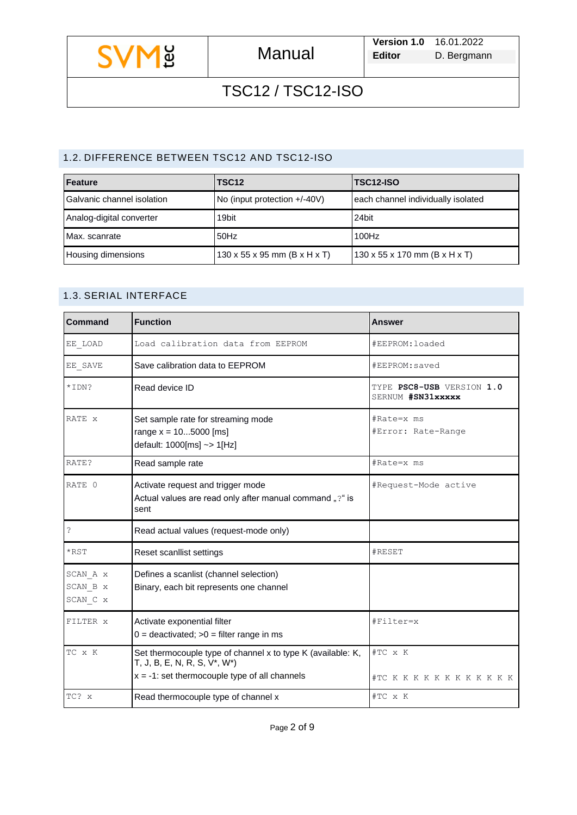

### 1.2. DIFFERENCE BETWEEN TSC12 AND TSC12-ISO

| Feature                    | <b>TSC12</b>                             | TSC12-ISO                          |
|----------------------------|------------------------------------------|------------------------------------|
| Galvanic channel isolation | No (input protection +/-40V)             | each channel individually isolated |
| Analog-digital converter   | 19bit                                    | 24bit                              |
| Max. scanrate              | 50Hz                                     | 100Hz                              |
| Housing dimensions         | $130 \times 55 \times 95$ mm (B x H x T) | 130 x 55 x 170 mm (B x H x T)      |

## 1.3. SERIAL INTERFACE

| Command                          | <b>Function</b>                                                                                                                                 | <b>Answer</b>                                  |
|----------------------------------|-------------------------------------------------------------------------------------------------------------------------------------------------|------------------------------------------------|
| EE LOAD                          | Load calibration data from EEPROM                                                                                                               | #EEPROM:loaded                                 |
| EE_SAVE                          | Save calibration data to EEPROM                                                                                                                 | #EEPROM:saved                                  |
| *IDN?                            | Read device ID                                                                                                                                  | TYPE PSC8-USB VERSION 1.0<br>SERNUM #SN31xxxxx |
| RATE x                           | Set sample rate for streaming mode<br>range $x = 105000$ [ms]<br>default: $1000$ [ms] ~> $1$ [Hz]                                               | #Rate=x ms<br>#Error: Rate-Range               |
| RATE?                            | Read sample rate                                                                                                                                | #Rate=x ms                                     |
| RATE 0                           | Activate request and trigger mode<br>Actual values are read only after manual command "?" is<br>sent                                            | #Request-Mode active                           |
| Ŝ.                               | Read actual values (request-mode only)                                                                                                          |                                                |
| $*$ RST                          | Reset scanllist settings                                                                                                                        | #RESET                                         |
| SCAN A x<br>SCAN B x<br>SCAN C x | Defines a scanlist (channel selection)<br>Binary, each bit represents one channel                                                               |                                                |
| FILTER <sub>x</sub>              | Activate exponential filter<br>$0 =$ deactivated; $>0 =$ filter range in ms                                                                     | #Filter=x                                      |
| TC x K                           | Set thermocouple type of channel x to type K (available: K,<br>T, J, B, E, N, R, S, V*, W*)<br>$x = -1$ : set thermocouple type of all channels | #TC x K<br>#TC K K K K K K K K K K K           |
| TC? x                            | Read thermocouple type of channel x                                                                                                             | #TC x K                                        |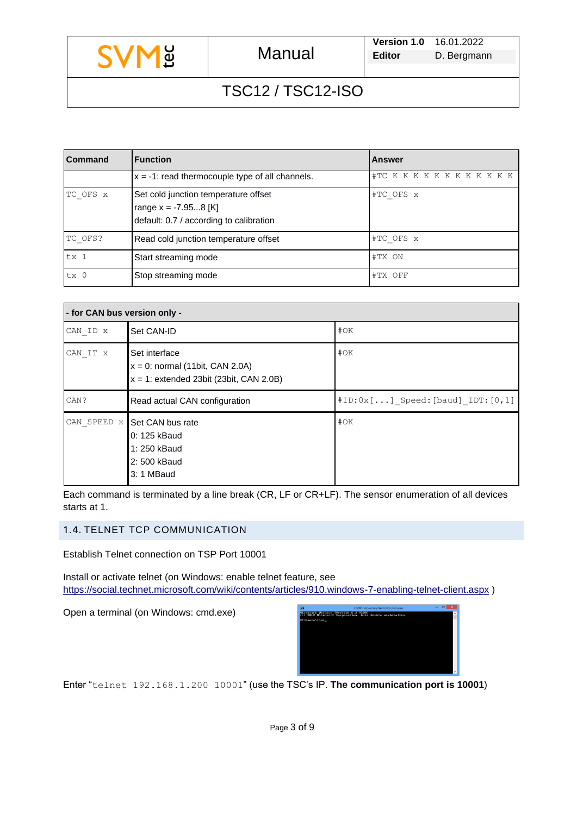| ပ<br>$\tilde{\mathbf{\Theta}}$<br>ٮ |  |
|-------------------------------------|--|
|-------------------------------------|--|

| Command         | <b>Function</b>                                                                                           | <b>Answer</b>               |
|-----------------|-----------------------------------------------------------------------------------------------------------|-----------------------------|
|                 | $x = -1$ : read thermocouple type of all channels.                                                        | #TC K K K K K K K K K K K K |
| TC OFS x        | Set cold junction temperature offset<br>range $x = -7.958$ [K]<br>default: 0.7 / according to calibration | #TC OFS x                   |
| TC OFS?         | Read cold junction temperature offset                                                                     | #TC OFS x                   |
| tx <sub>1</sub> | Start streaming mode                                                                                      | #TX ON                      |
| tx <sub>0</sub> | Stop streaming mode                                                                                       | #TX OFF                     |

| - for CAN bus version only - |                                                                                                   |                                 |  |
|------------------------------|---------------------------------------------------------------------------------------------------|---------------------------------|--|
| CAN ID x                     | Set CAN-ID                                                                                        | #OK                             |  |
| CAN IT x                     | Set interface<br>$x = 0$ : normal (11bit, CAN 2.0A)<br>$x = 1$ : extended 23bit (23bit, CAN 2.0B) | #OK                             |  |
| CAN?                         | Read actual CAN configuration                                                                     | #ID:0x[] Speed:[baud] IDT:[0,1] |  |
| CAN SPEED x                  | Set CAN bus rate<br>0: 125 kBaud<br>1: 250 kBaud<br>2: 500 kBaud<br>3: 1 MBaud                    | #OK                             |  |

Each command is terminated by a line break (CR, LF or CR+LF). The sensor enumeration of all devices starts at 1.

### 1.4. TELNET TCP COMMUNICATION

Establish Telnet connection on TSP Port 10001

Install or activate telnet (on Windows: enable telnet feature, see <https://social.technet.microsoft.com/wiki/contents/articles/910.windows-7-enabling-telnet-client.aspx> )

Open a terminal (on Windows: cmd.exe)



Enter "telnet 192.168.1.200 10001" (use the TSC's IP. **The communication port is 10001**)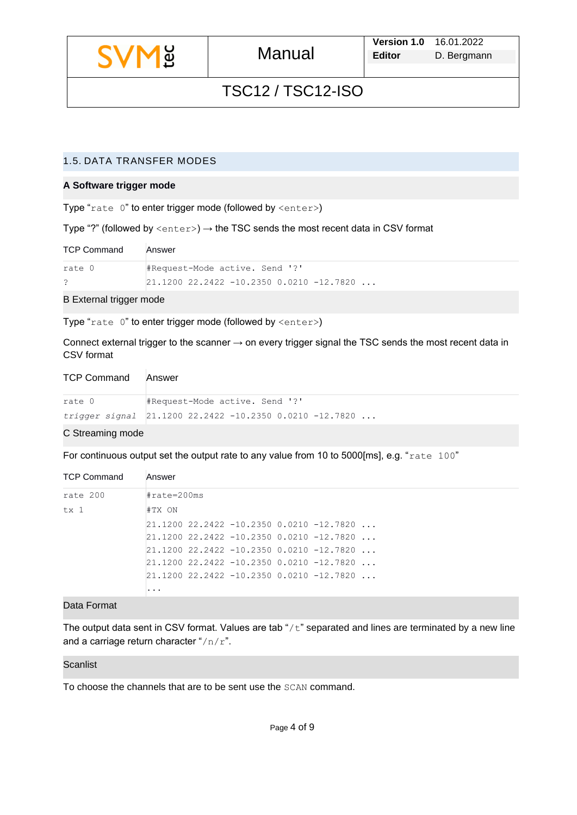|  | ပ္ပ<br>↵ |
|--|----------|
|--|----------|

### 1.5. DATA TRANSFER MODES

#### **A Software trigger mode**

Type "rate  $0$ " to enter trigger mode (followed by  $\langle$ enter>)

Type "?" (followed by  $\langle$ enter>)  $\rightarrow$  the TSC sends the most recent data in CSV format

| <b>TCP Command</b> | Answer                                                 |
|--------------------|--------------------------------------------------------|
| rate 0             | #Request-Mode active. Send '?'                         |
|                    | $ 21.1200 \t22.2422 \t-10.2350 \t0.0210 \t-12.7820 \t$ |

B External trigger mode

Type "rate 0" to enter trigger mode (followed by <enter>)

Connect external trigger to the scanner → on every trigger signal the TSC sends the most recent data in CSV format

| <b>TCP Command</b> | Answer                                                                                          |
|--------------------|-------------------------------------------------------------------------------------------------|
| rate 0             | #Request-Mode active. Send '?'                                                                  |
|                    | trigger signal $\begin{bmatrix} 21.1200 & 22.2422 & -10.2350 & 0.0210 & -12.7820 \end{bmatrix}$ |

#### C Streaming mode

For continuous output set the output rate to any value from 10 to 5000[ms], e.g. "rate 100"

| <b>TCP Command</b> | Answer                                             |
|--------------------|----------------------------------------------------|
| rate 200           | $\texttt{\#rate=200ms}$                            |
| tx 1               | #TX ON                                             |
|                    | $21.1200$ $22.2422$ $-10.2350$ 0.0210 $-12.7820$   |
|                    | $21.1200$ $22.2422$ $-10.2350$ $0.0210$ $-12.7820$ |
|                    | $21.1200$ $22.2422$ $-10.2350$ 0.0210 $-12.7820$   |
|                    | $21.1200$ $22.2422$ $-10.2350$ 0.0210 $-12.7820$   |
|                    | $21.1200$ $22.2422$ $-10.2350$ $0.0210$ $-12.7820$ |
|                    | .                                                  |

#### Data Format

The output data sent in CSV format. Values are tab " $/t$ " separated and lines are terminated by a new line and a carriage return character " $/n/r$ ".

#### **Scanlist**

To choose the channels that are to be sent use the SCAN command.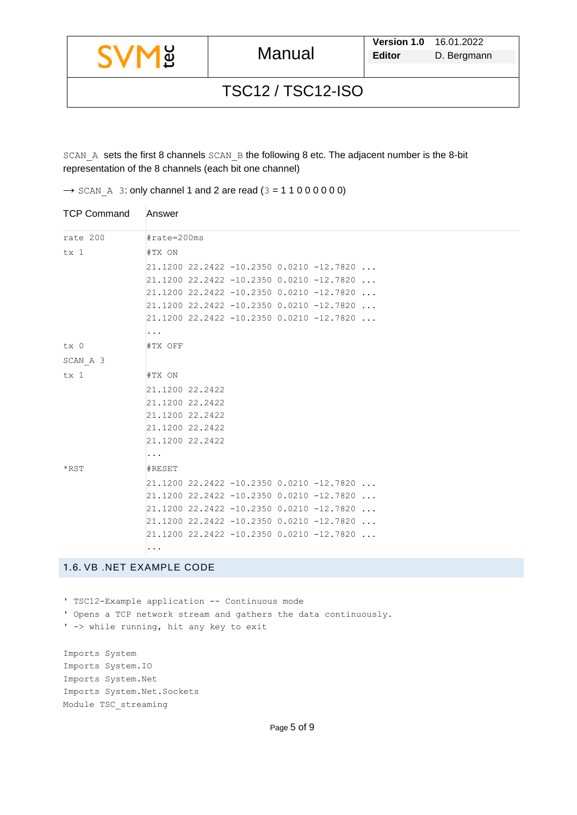|  |  | ပ<br>$\tilde{\mathbf{\Theta}}$<br>▃ |
|--|--|-------------------------------------|
|--|--|-------------------------------------|

SCAN A sets the first 8 channels SCAN B the following 8 etc. The adjacent number is the 8-bit representation of the 8 channels (each bit one channel)

 $\rightarrow$  SCAN A 3: only channel 1 and 2 are read (3 = 1 1 0 0 0 0 0 0)

| <b>TCP Command</b> | Answer      |                 |  |  |                                            |  |
|--------------------|-------------|-----------------|--|--|--------------------------------------------|--|
| rate 200           | #rate=200ms |                 |  |  |                                            |  |
| tx 1               | #TX ON      |                 |  |  |                                            |  |
|                    |             |                 |  |  | $21.1200$ 22.2422 -10.2350 0.0210 -12.7820 |  |
|                    |             |                 |  |  | $21.1200$ 22.2422 -10.2350 0.0210 -12.7820 |  |
|                    |             |                 |  |  | 21.1200 22.2422 -10.2350 0.0210 -12.7820   |  |
|                    |             |                 |  |  | $21.1200$ 22.2422 -10.2350 0.0210 -12.7820 |  |
|                    |             |                 |  |  | 21.1200 22.2422 -10.2350 0.0210 -12.7820   |  |
|                    | .           |                 |  |  |                                            |  |
| tx 0               | #TX OFF     |                 |  |  |                                            |  |
| SCAN A 3           |             |                 |  |  |                                            |  |
| tx 1               | #TX ON      |                 |  |  |                                            |  |
|                    |             | 21.1200 22.2422 |  |  |                                            |  |
|                    |             | 21.1200 22.2422 |  |  |                                            |  |
|                    |             | 21.1200 22.2422 |  |  |                                            |  |
|                    |             | 21.1200 22.2422 |  |  |                                            |  |
|                    |             | 21.1200 22.2422 |  |  |                                            |  |
|                    | .           |                 |  |  |                                            |  |
| $*$ RST            | #RESET      |                 |  |  |                                            |  |
|                    |             |                 |  |  | 21.1200 22.2422 -10.2350 0.0210 -12.7820   |  |
|                    |             |                 |  |  | $21.1200$ 22.2422 -10.2350 0.0210 -12.7820 |  |
|                    |             |                 |  |  | $21.1200$ 22.2422 -10.2350 0.0210 -12.7820 |  |
|                    |             |                 |  |  | $21.1200$ 22.2422 -10.2350 0.0210 -12.7820 |  |
|                    |             |                 |  |  | $21.1200$ 22.2422 -10.2350 0.0210 -12.7820 |  |
|                    | .           |                 |  |  |                                            |  |

## 1.6. VB .NET EXAMPLE CODE

' TSC12-Example application -- Continuous mode ' Opens a TCP network stream and gathers the data continuously.

' -> while running, hit any key to exit

Imports System Imports System.IO Imports System.Net Imports System.Net.Sockets Module TSC\_streaming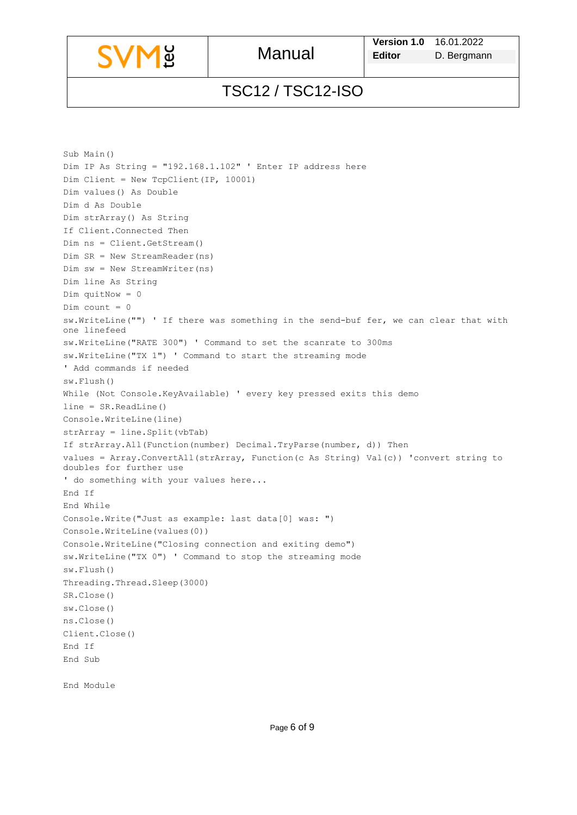```
Sub Main()
Dim IP As String = "192.168.1.102" ' Enter IP address here
Dim Client = New TcpClient(IP, 10001)
Dim values() As Double
Dim d As Double
Dim strArray() As String
If Client.Connected Then
Dim ns = Client.GetStream()
Dim SR = New StreamReader(ns)
Dim sw = New StreamWriter(ns)
Dim line As String
Dim quitNow = 0
Dim count = 0sw.WriteLine("") ' If there was something in the send-buf fer, we can clear that with 
one linefeed
sw.WriteLine("RATE 300") ' Command to set the scanrate to 300ms
sw.WriteLine("TX 1") ' Command to start the streaming mode
' Add commands if needed 
sw.Flush()
While (Not Console.KeyAvailable) ' every key pressed exits this demo
line = SR.ReadLine()
Console.WriteLine(line)
strArray = line.Split(vbTab)
If strArray.All(Function(number) Decimal.TryParse(number, d)) Then
values = Array.ConvertAll(strArray, Function(c As String) Val(c)) 'convert string to 
doubles for further use
' do something with your values here...
End If
End While
Console.Write("Just as example: last data[0] was: ")
Console.WriteLine(values(0))
Console.WriteLine("Closing connection and exiting demo")
sw.WriteLine("TX 0") ' Command to stop the streaming mode
sw.Flush()
Threading.Thread.Sleep(3000)
SR.Close()
sw.Close()
ns.Close()
Client.Close()
End If
End Sub
End Module
```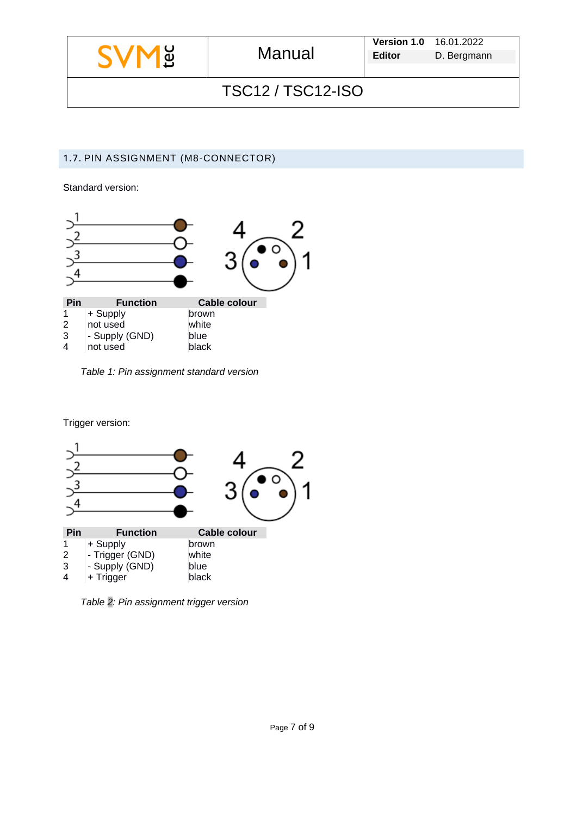|                        | <b>M</b> g<br>Manual | <b>Version 1.0</b> 16.01.2022 |             |  |
|------------------------|----------------------|-------------------------------|-------------|--|
|                        |                      | <b>Editor</b>                 | D. Bergmann |  |
|                        |                      |                               |             |  |
| <b>TSC12/TSC12-ISO</b> |                      |                               |             |  |

## 1.7. PIN ASSIGNMENT (M8-CONNECTOR)

Standard version:



*Table 1: Pin assignment standard version*

Trigger version:



*Table 2: Pin assignment trigger version*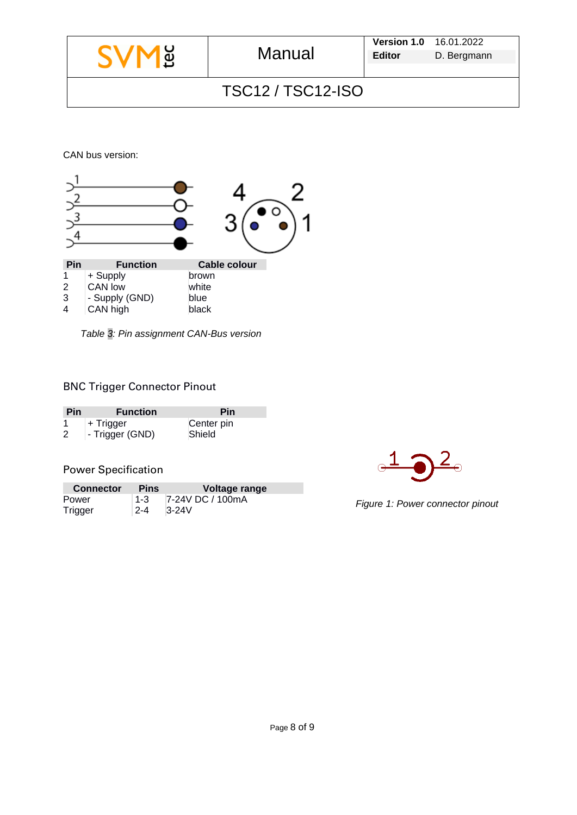|                   |        | <b>Version 1.0 16.01.2022</b> |             |  |
|-------------------|--------|-------------------------------|-------------|--|
| <b>SVME</b>       | Manual | <b>Editor</b>                 | D. Bergmann |  |
|                   |        |                               |             |  |
| TSC12 / TSC12-ISO |        |                               |             |  |

CAN bus version:



*Table 3: Pin assignment CAN-Bus version*

## BNC Trigger Connector Pinout

| <b>Pin</b> | <b>Function</b> | Pin        |
|------------|-----------------|------------|
|            | ⊦ Trigger       | Center pin |
| 2          | - Trigger (GND) | Shield     |

## Power Specification

| <b>Connector</b> | <b>Pins</b> | Voltage range    |
|------------------|-------------|------------------|
| Power            | ⊢1-3        | 7-24V DC / 100mA |
| Trigger          | $2 - 4$     | $3-24V$          |



*Figure 1: Power connector pinout*